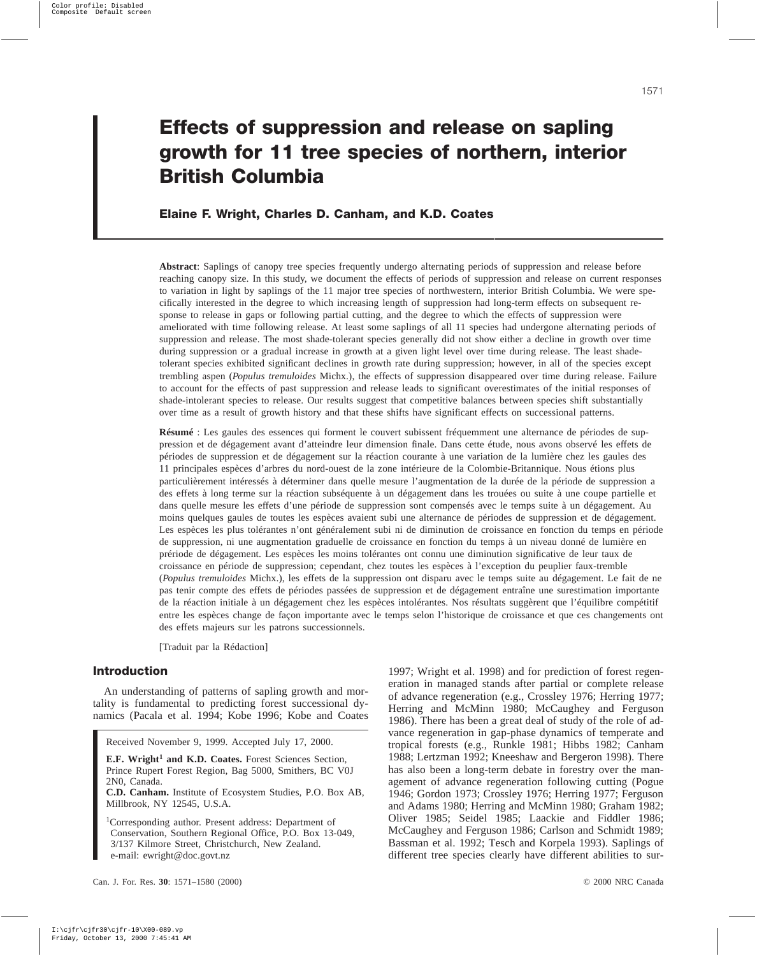# **Effects of suppression and release on sapling growth for 11 tree species of northern, interior British Columbia**

# **Elaine F. Wright, Charles D. Canham, and K.D. Coates**

**Abstract**: Saplings of canopy tree species frequently undergo alternating periods of suppression and release before reaching canopy size. In this study, we document the effects of periods of suppression and release on current responses to variation in light by saplings of the 11 major tree species of northwestern, interior British Columbia. We were specifically interested in the degree to which increasing length of suppression had long-term effects on subsequent response to release in gaps or following partial cutting, and the degree to which the effects of suppression were ameliorated with time following release. At least some saplings of all 11 species had undergone alternating periods of suppression and release. The most shade-tolerant species generally did not show either a decline in growth over time during suppression or a gradual increase in growth at a given light level over time during release. The least shadetolerant species exhibited significant declines in growth rate during suppression; however, in all of the species except trembling aspen (*Populus tremuloides* Michx.), the effects of suppression disappeared over time during release. Failure to account for the effects of past suppression and release leads to significant overestimates of the initial responses of shade-intolerant species to release. Our results suggest that competitive balances between species shift substantially over time as a result of growth history and that these shifts have significant effects on successional patterns.

**Résumé** : Les gaules des essences qui forment le couvert subissent fréquemment une alternance de périodes de suppression et de dégagement avant d'atteindre leur dimension finale. Dans cette étude, nous avons observé les effets de périodes de suppression et de dégagement sur la réaction courante à une variation de la lumière chez les gaules des 11 principales espèces d'arbres du nord-ouest de la zone intérieure de la Colombie-Britannique. Nous étions plus particulièrement intéressés à déterminer dans quelle mesure l'augmentation de la durée de la période de suppression a des effets à long terme sur la réaction subséquente à un dégagement dans les trouées ou suite à une coupe partielle et dans quelle mesure les effets d'une période de suppression sont compensés avec le temps suite à un dégagement. Au moins quelques gaules de toutes les espèces avaient subi une alternance de périodes de suppression et de dégagement. Les espèces les plus tolérantes n'ont généralement subi ni de diminution de croissance en fonction du temps en période de suppression, ni une augmentation graduelle de croissance en fonction du temps à un niveau donné de lumière en prériode de dégagement. Les espèces les moins tolérantes ont connu une diminution significative de leur taux de croissance en période de suppression; cependant, chez toutes les espèces à l'exception du peuplier faux-tremble (*Populus tremuloides* Michx.), les effets de la suppression ont disparu avec le temps suite au dégagement. Le fait de ne pas tenir compte des effets de périodes passées de suppression et de dégagement entraîne une surestimation importante de la réaction initiale à un dégagement chez les espèces intolérantes. Nos résultats suggèrent que l'équilibre compétitif entre les espèces change de façon importante avec le temps selon l'historique de croissance et que ces changements ont des effets majeurs sur les patrons successionnels.

[Traduit par la Rédaction]

## **Introduction**

An understanding of patterns of sapling growth and mortality is fundamental to predicting forest successional dynamics (Pacala et al. 1994; Kobe 1996; Kobe and Coates

Received November 9, 1999. Accepted July 17, 2000.

**E.F. Wright<sup>1</sup> and K.D. Coates.** Forest Sciences Section, Prince Rupert Forest Region, Bag 5000, Smithers, BC V0J 2N0, Canada.

**C.D. Canham.** Institute of Ecosystem Studies, P.O. Box AB, Millbrook, NY 12545, U.S.A.

1 Corresponding author. Present address: Department of Conservation, Southern Regional Office, P.O. Box 13-049, 3/137 Kilmore Street, Christchurch, New Zealand. e-mail: ewright@doc.govt.nz

1997; Wright et al. 1998) and for prediction of forest regeneration in managed stands after partial or complete release of advance regeneration (e.g., Crossley 1976; Herring 1977; Herring and McMinn 1980; McCaughey and Ferguson 1986). There has been a great deal of study of the role of advance regeneration in gap-phase dynamics of temperate and tropical forests (e.g., Runkle 1981; Hibbs 1982; Canham 1988; Lertzman 1992; Kneeshaw and Bergeron 1998). There has also been a long-term debate in forestry over the management of advance regeneration following cutting (Pogue 1946; Gordon 1973; Crossley 1976; Herring 1977; Ferguson and Adams 1980; Herring and McMinn 1980; Graham 1982; Oliver 1985; Seidel 1985; Laackie and Fiddler 1986; McCaughey and Ferguson 1986; Carlson and Schmidt 1989; Bassman et al. 1992; Tesch and Korpela 1993). Saplings of different tree species clearly have different abilities to sur-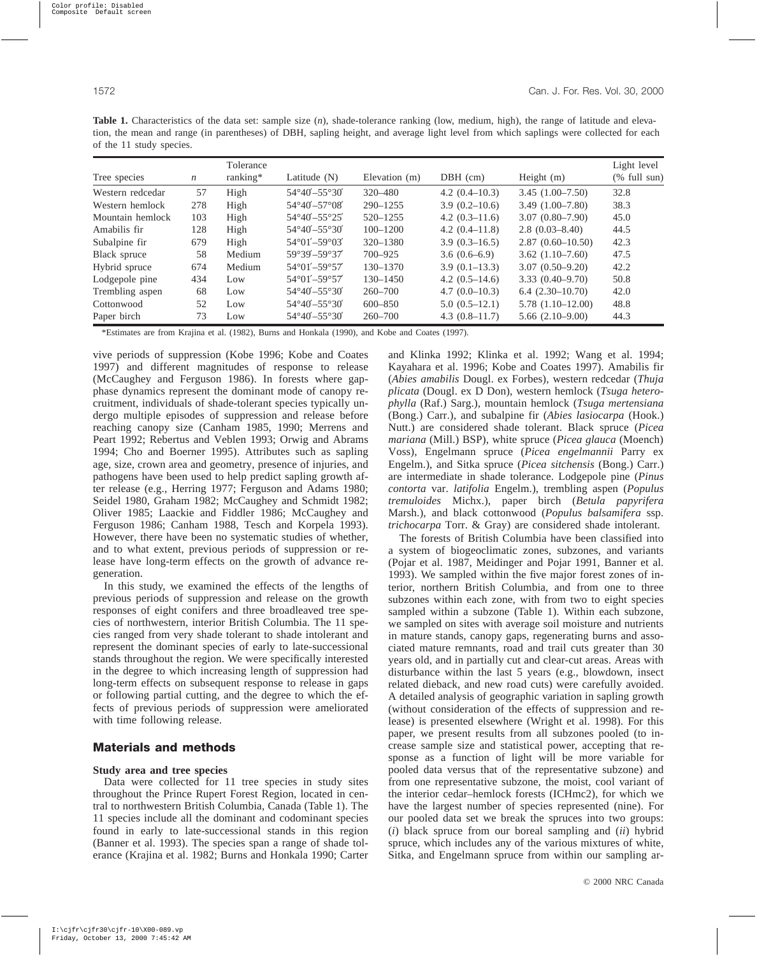**Table 1.** Characteristics of the data set: sample size (*n*), shade-tolerance ranking (low, medium, high), the range of latitude and elevation, the mean and range (in parentheses) of DBH, sapling height, and average light level from which saplings were collected for each of the 11 study species.

|                  |                  | Tolerance |                                 |               |                 |                     | Light level     |
|------------------|------------------|-----------|---------------------------------|---------------|-----------------|---------------------|-----------------|
| Tree species     | $\boldsymbol{n}$ | ranking*  | Latitude $(N)$                  | Elevation (m) | $DBH$ (cm)      | Height $(m)$        | $(\%$ full sun) |
| Western redcedar | 57               | High      | $54^{\circ}40' - 55^{\circ}30'$ | 320–480       | $4.2(0.4-10.3)$ | $3.45(1.00-7.50)$   | 32.8            |
| Western hemlock  | 278              | High      | $54^{\circ}40' - 57^{\circ}08'$ | $290 - 1255$  | $3.9(0.2-10.6)$ | $3.49(1.00 - 7.80)$ | 38.3            |
| Mountain hemlock | 103              | High      | $54^{\circ}40' - 55^{\circ}25'$ | 520-1255      | $4.2(0.3-11.6)$ | $3.07(0.80 - 7.90)$ | 45.0            |
| Amabilis fir     | 128              | High      | $54^{\circ}40' - 55^{\circ}30'$ | $100 - 1200$  | $4.2(0.4-11.8)$ | $2.8(0.03 - 8.40)$  | 44.5            |
| Subalpine fir    | 679              | High      | $54^{\circ}01' - 59^{\circ}03'$ | 320-1380      | $3.9(0.3-16.5)$ | $2.87(0.60-10.50)$  | 42.3            |
| Black spruce     | 58               | Medium    | $59°39' - 59°37'$               | $700 - 925$   | $3.6(0.6-6.9)$  | $3.62(1.10-7.60)$   | 47.5            |
| Hybrid spruce    | 674              | Medium    | $54^{\circ}01' - 59^{\circ}57'$ | $130 - 1370$  | $3.9(0.1-13.3)$ | $3.07(0.50 - 9.20)$ | 42.2            |
| Lodgepole pine   | 434              | Low       | $54^{\circ}01' - 59^{\circ}57'$ | $130 - 1450$  | $4.2(0.5-14.6)$ | $3.33(0.40 - 9.70)$ | 50.8            |
| Trembling aspen  | 68               | Low       | $54^{\circ}40' - 55^{\circ}30'$ | $260 - 700$   | $4.7(0.0-10.3)$ | $6.4(2.30-10.70)$   | 42.0            |
| Cottonwood       | 52               | Low       | $54^{\circ}40' - 55^{\circ}30'$ | 600-850       | $5.0(0.5-12.1)$ | $5.78(1.10-12.00)$  | 48.8            |
| Paper birch      | 73               | Low       | $54^{\circ}40' - 55^{\circ}30'$ | $260 - 700$   | $4.3(0.8-11.7)$ | $5.66(2.10-9.00)$   | 44.3            |

\*Estimates are from Krajina et al. (1982), Burns and Honkala (1990), and Kobe and Coates (1997).

vive periods of suppression (Kobe 1996; Kobe and Coates 1997) and different magnitudes of response to release (McCaughey and Ferguson 1986). In forests where gapphase dynamics represent the dominant mode of canopy recruitment, individuals of shade-tolerant species typically undergo multiple episodes of suppression and release before reaching canopy size (Canham 1985, 1990; Merrens and Peart 1992; Rebertus and Veblen 1993; Orwig and Abrams 1994; Cho and Boerner 1995). Attributes such as sapling age, size, crown area and geometry, presence of injuries, and pathogens have been used to help predict sapling growth after release (e.g., Herring 1977; Ferguson and Adams 1980; Seidel 1980, Graham 1982; McCaughey and Schmidt 1982; Oliver 1985; Laackie and Fiddler 1986; McCaughey and Ferguson 1986; Canham 1988, Tesch and Korpela 1993). However, there have been no systematic studies of whether, and to what extent, previous periods of suppression or release have long-term effects on the growth of advance regeneration.

In this study, we examined the effects of the lengths of previous periods of suppression and release on the growth responses of eight conifers and three broadleaved tree species of northwestern, interior British Columbia. The 11 species ranged from very shade tolerant to shade intolerant and represent the dominant species of early to late-successional stands throughout the region. We were specifically interested in the degree to which increasing length of suppression had long-term effects on subsequent response to release in gaps or following partial cutting, and the degree to which the effects of previous periods of suppression were ameliorated with time following release.

## **Materials and methods**

#### **Study area and tree species**

Data were collected for 11 tree species in study sites throughout the Prince Rupert Forest Region, located in central to northwestern British Columbia, Canada (Table 1). The 11 species include all the dominant and codominant species found in early to late-successional stands in this region (Banner et al. 1993). The species span a range of shade tolerance (Krajina et al. 1982; Burns and Honkala 1990; Carter and Klinka 1992; Klinka et al. 1992; Wang et al. 1994; Kayahara et al. 1996; Kobe and Coates 1997). Amabilis fir (*Abies amabilis* Dougl. ex Forbes), western redcedar (*Thuja plicata* (Dougl. ex D Don), western hemlock (*Tsuga heterophylla* (Raf.) Sarg.), mountain hemlock (*Tsuga mertensiana* (Bong.) Carr.), and subalpine fir (*Abies lasiocarpa* (Hook.) Nutt.) are considered shade tolerant. Black spruce (*Picea mariana* (Mill.) BSP), white spruce (*Picea glauca* (Moench) Voss), Engelmann spruce (*Picea engelmannii* Parry ex Engelm.), and Sitka spruce (*Picea sitchensis* (Bong.) Carr.) are intermediate in shade tolerance. Lodgepole pine (*Pinus contorta* var. *latifolia* Engelm.), trembling aspen (*Populus tremuloides* Michx.), paper birch (*Betula papyrifera* Marsh.), and black cottonwood (*Populus balsamifera* ssp. *trichocarpa* Torr. & Gray) are considered shade intolerant.

The forests of British Columbia have been classified into a system of biogeoclimatic zones, subzones, and variants (Pojar et al. 1987, Meidinger and Pojar 1991, Banner et al. 1993). We sampled within the five major forest zones of interior, northern British Columbia, and from one to three subzones within each zone, with from two to eight species sampled within a subzone (Table 1). Within each subzone, we sampled on sites with average soil moisture and nutrients in mature stands, canopy gaps, regenerating burns and associated mature remnants, road and trail cuts greater than 30 years old, and in partially cut and clear-cut areas. Areas with disturbance within the last 5 years (e.g., blowdown, insect related dieback, and new road cuts) were carefully avoided. A detailed analysis of geographic variation in sapling growth (without consideration of the effects of suppression and release) is presented elsewhere (Wright et al. 1998). For this paper, we present results from all subzones pooled (to increase sample size and statistical power, accepting that response as a function of light will be more variable for pooled data versus that of the representative subzone) and from one representative subzone, the moist, cool variant of the interior cedar–hemlock forests (ICHmc2), for which we have the largest number of species represented (nine). For our pooled data set we break the spruces into two groups: (*i*) black spruce from our boreal sampling and (*ii*) hybrid spruce, which includes any of the various mixtures of white, Sitka, and Engelmann spruce from within our sampling ar-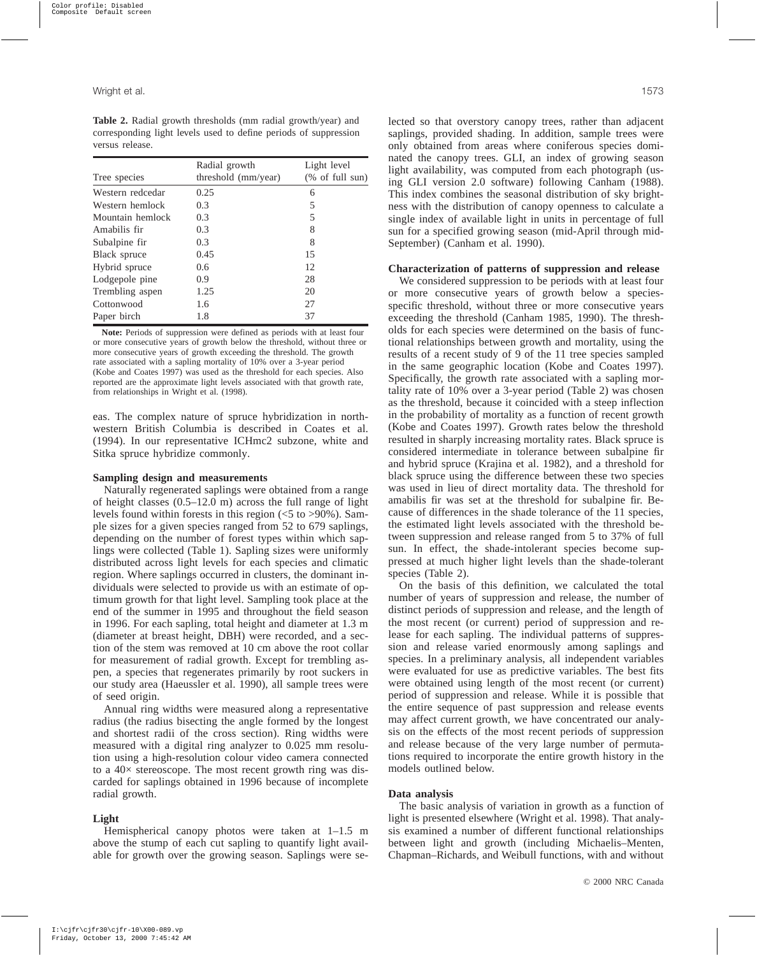**Table 2.** Radial growth thresholds (mm radial growth/year) and corresponding light levels used to define periods of suppression versus release.

| Tree species     | Radial growth<br>threshold (mm/year) | Light level<br>$(\%$ of full sun) |  |  |
|------------------|--------------------------------------|-----------------------------------|--|--|
| Western redcedar | 0.25                                 | 6                                 |  |  |
| Western hemlock  | 0.3                                  | 5                                 |  |  |
| Mountain hemlock | 0.3                                  | 5                                 |  |  |
| Amabilis fir     | 0.3                                  | 8                                 |  |  |
| Subalpine fir    | 0.3                                  | 8                                 |  |  |
| Black spruce     | 0.45                                 | 15                                |  |  |
| Hybrid spruce    | 0.6                                  | 12                                |  |  |
| Lodgepole pine   | 0.9                                  | 28                                |  |  |
| Trembling aspen  | 1.25                                 | 20                                |  |  |
| Cottonwood       | 1.6                                  | 27                                |  |  |
| Paper birch      | 1.8                                  | 37                                |  |  |

**Note:** Periods of suppression were defined as periods with at least four or more consecutive years of growth below the threshold, without three or more consecutive years of growth exceeding the threshold. The growth rate associated with a sapling mortality of 10% over a 3-year period (Kobe and Coates 1997) was used as the threshold for each species. Also reported are the approximate light levels associated with that growth rate, from relationships in Wright et al. (1998).

eas. The complex nature of spruce hybridization in northwestern British Columbia is described in Coates et al. (1994). In our representative ICHmc2 subzone, white and Sitka spruce hybridize commonly.

#### **Sampling design and measurements**

Naturally regenerated saplings were obtained from a range of height classes (0.5–12.0 m) across the full range of light levels found within forests in this region  $(<5$  to  $>90\%$ ). Sample sizes for a given species ranged from 52 to 679 saplings, depending on the number of forest types within which saplings were collected (Table 1). Sapling sizes were uniformly distributed across light levels for each species and climatic region. Where saplings occurred in clusters, the dominant individuals were selected to provide us with an estimate of optimum growth for that light level. Sampling took place at the end of the summer in 1995 and throughout the field season in 1996. For each sapling, total height and diameter at 1.3 m (diameter at breast height, DBH) were recorded, and a section of the stem was removed at 10 cm above the root collar for measurement of radial growth. Except for trembling aspen, a species that regenerates primarily by root suckers in our study area (Haeussler et al. 1990), all sample trees were of seed origin.

Annual ring widths were measured along a representative radius (the radius bisecting the angle formed by the longest and shortest radii of the cross section). Ring widths were measured with a digital ring analyzer to 0.025 mm resolution using a high-resolution colour video camera connected to a 40× stereoscope. The most recent growth ring was discarded for saplings obtained in 1996 because of incomplete radial growth.

#### **Light**

Hemispherical canopy photos were taken at 1–1.5 m above the stump of each cut sapling to quantify light available for growth over the growing season. Saplings were selected so that overstory canopy trees, rather than adjacent saplings, provided shading. In addition, sample trees were only obtained from areas where coniferous species dominated the canopy trees. GLI, an index of growing season light availability, was computed from each photograph (using GLI version 2.0 software) following Canham (1988). This index combines the seasonal distribution of sky brightness with the distribution of canopy openness to calculate a single index of available light in units in percentage of full sun for a specified growing season (mid-April through mid-September) (Canham et al. 1990).

## **Characterization of patterns of suppression and release**

We considered suppression to be periods with at least four or more consecutive years of growth below a speciesspecific threshold, without three or more consecutive years exceeding the threshold (Canham 1985, 1990). The thresholds for each species were determined on the basis of functional relationships between growth and mortality, using the results of a recent study of 9 of the 11 tree species sampled in the same geographic location (Kobe and Coates 1997). Specifically, the growth rate associated with a sapling mortality rate of 10% over a 3-year period (Table 2) was chosen as the threshold, because it coincided with a steep inflection in the probability of mortality as a function of recent growth (Kobe and Coates 1997). Growth rates below the threshold resulted in sharply increasing mortality rates. Black spruce is considered intermediate in tolerance between subalpine fir and hybrid spruce (Krajina et al. 1982), and a threshold for black spruce using the difference between these two species was used in lieu of direct mortality data. The threshold for amabilis fir was set at the threshold for subalpine fir. Because of differences in the shade tolerance of the 11 species, the estimated light levels associated with the threshold between suppression and release ranged from 5 to 37% of full sun. In effect, the shade-intolerant species become suppressed at much higher light levels than the shade-tolerant species (Table 2).

On the basis of this definition, we calculated the total number of years of suppression and release, the number of distinct periods of suppression and release, and the length of the most recent (or current) period of suppression and release for each sapling. The individual patterns of suppression and release varied enormously among saplings and species. In a preliminary analysis, all independent variables were evaluated for use as predictive variables. The best fits were obtained using length of the most recent (or current) period of suppression and release. While it is possible that the entire sequence of past suppression and release events may affect current growth, we have concentrated our analysis on the effects of the most recent periods of suppression and release because of the very large number of permutations required to incorporate the entire growth history in the models outlined below.

#### **Data analysis**

The basic analysis of variation in growth as a function of light is presented elsewhere (Wright et al. 1998). That analysis examined a number of different functional relationships between light and growth (including Michaelis–Menten, Chapman–Richards, and Weibull functions, with and without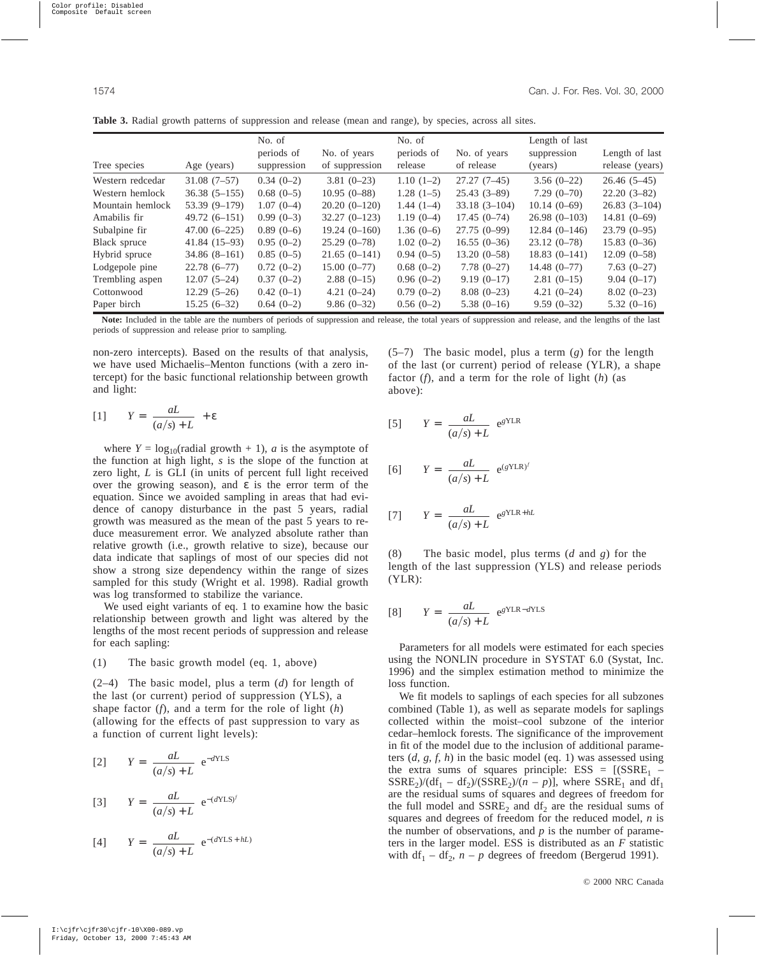|                  |                  | No. of      |                | No. of      |                  | Length of last |                 |
|------------------|------------------|-------------|----------------|-------------|------------------|----------------|-----------------|
|                  |                  | periods of  | No. of years   | periods of  | No. of years     | suppression    | Length of last  |
| Tree species     | Age (years)      | suppression | of suppression | release     | of release       | (years)        | release (years) |
| Western redcedar | $31.08(7-57)$    | $0.34(0-2)$ | $3.81(0-23)$   | $1.10(1-2)$ | $27.27(7 - 45)$  | $3.56(0-22)$   | $26.46(5-45)$   |
| Western hemlock  | $36.38(5 - 155)$ | $0.68(0-5)$ | $10.95(0-88)$  | $1.28(1-5)$ | $25.43(3-89)$    | $7.29(0-70)$   | $22.20(3-82)$   |
| Mountain hemlock | 53.39 (9-179)    | $1.07(0-4)$ | $20.20(0-120)$ | $1.44(1-4)$ | $33.18(3 - 104)$ | $10.14(0-69)$  | $26.83(3-104)$  |
| Amabilis fir     | $49.72(6-151)$   | $0.99(0-3)$ | $32.27(0-123)$ | $1.19(0-4)$ | $17.45(0-74)$    | $26.98(0-103)$ | $14.81(0-69)$   |
| Subalpine fir    | $47.00(6-225)$   | $0.89(0-6)$ | $19.24(0-160)$ | $1.36(0-6)$ | $27.75(0-99)$    | $12.84(0-146)$ | $23.79(0-95)$   |
| Black spruce     | $41.84(15-93)$   | $0.95(0-2)$ | $25.29(0-78)$  | $1.02(0-2)$ | $16.55(0-36)$    | $23.12(0-78)$  | $15.83(0-36)$   |
| Hybrid spruce    | $34.86(8-161)$   | $0.85(0-5)$ | $21.65(0-141)$ | $0.94(0-5)$ | $13.20(0-58)$    | $18.83(0-141)$ | $12.09(0-58)$   |
| Lodgepole pine   | $22.78(6-77)$    | $0.72(0-2)$ | $15.00(0-77)$  | $0.68(0-2)$ | $7.78(0-27)$     | $14.48(0-77)$  | $7.63(0-27)$    |
| Trembling aspen  | $12.07(5-24)$    | $0.37(0-2)$ | $2.88(0-15)$   | $0.96(0-2)$ | $9.19(0-17)$     | $2.81(0-15)$   | $9.04(0-17)$    |
| Cottonwood       | $12.29(5-26)$    | $0.42(0-1)$ | $4.21(0-24)$   | $0.79(0-2)$ | $8.08(0-23)$     | $4.21(0-24)$   | $8.02(0-23)$    |
| Paper birch      | $15.25(6-32)$    | $0.64(0-2)$ | $9.86(0-32)$   | $0.56(0-2)$ | $5.38(0-16)$     | $9.59(0-32)$   | $5.32(0-16)$    |

**Table 3.** Radial growth patterns of suppression and release (mean and range), by species, across all sites.

**Note:** Included in the table are the numbers of periods of suppression and release, the total years of suppression and release, and the lengths of the last periods of suppression and release prior to sampling.

non-zero intercepts). Based on the results of that analysis, we have used Michaelis–Menton functions (with a zero intercept) for the basic functional relationship between growth and light:

$$
[1] \qquad Y = \left[\frac{aL}{(a/s) + L}\right] + \varepsilon
$$

where  $Y = \log_{10}(\text{radial growth} + 1)$ , *a* is the asymptote of the function at high light, *s* is the slope of the function at zero light, *L* is GLI (in units of percent full light received over the growing season), and  $\varepsilon$  is the error term of the equation. Since we avoided sampling in areas that had evidence of canopy disturbance in the past 5 years, radial growth was measured as the mean of the past 5 years to reduce measurement error. We analyzed absolute rather than relative growth (i.e., growth relative to size), because our data indicate that saplings of most of our species did not show a strong size dependency within the range of sizes sampled for this study (Wright et al. 1998). Radial growth was log transformed to stabilize the variance.

We used eight variants of eq. 1 to examine how the basic relationship between growth and light was altered by the lengths of the most recent periods of suppression and release for each sapling:

#### (1) The basic growth model (eq. 1, above)

(2–4) The basic model, plus a term (*d*) for length of the last (or current) period of suppression (YLS), a shape factor (*f*), and a term for the role of light (*h*) (allowing for the effects of past suppression to vary as a function of current light levels):

$$
[2] \qquad Y = \left[ \frac{aL}{(a/s) + L} \right] e^{-dYLS}
$$

$$
[3] \qquad Y = \left[\frac{aL}{(a/s) + L}\right] e^{-(dYLS)^f}
$$

$$
[4] \qquad Y = \left[ \frac{aL}{(a/s) + L} \right] e^{-(dYLS + hL)}
$$

(5–7) The basic model, plus a term (*g*) for the length of the last (or current) period of release (YLR), a shape factor (*f*), and a term for the role of light (*h*) (as above):

$$
[5] \qquad Y = \left[\frac{aL}{(a/s) + L}\right] e^{sYLR}
$$

$$
[6] \qquad Y = \left[\frac{aL}{(a/s) + L}\right] e^{(gYLR)^f}
$$

$$
[7] \qquad Y = \left[\frac{aL}{(a/s) + L}\right] e^{sYLR + hL}
$$

(8) The basic model, plus terms (*d* and *g*) for the length of the last suppression (YLS) and release periods (YLR):

$$
[8] \qquad Y = \left[\frac{aL}{(a/s) + L}\right] e^{sYLR - dYLS}
$$

Parameters for all models were estimated for each species using the NONLIN procedure in SYSTAT 6.0 (Systat, Inc. 1996) and the simplex estimation method to minimize the loss function.

We fit models to saplings of each species for all subzones combined (Table 1), as well as separate models for saplings collected within the moist–cool subzone of the interior cedar–hemlock forests. The significance of the improvement in fit of the model due to the inclusion of additional parameters (*d, g, f, h*) in the basic model (eq. 1) was assessed using the extra sums of squares principle:  $ESS = [(SSRE<sub>1</sub> SSRE_2$ /(df<sub>1</sub> – df<sub>2</sub>)/(SSRE<sub>2</sub>)/(*n* – *p*)], where  $SSRE_1$  and df<sub>1</sub> are the residual sums of squares and degrees of freedom for the full model and  $SSRE<sub>2</sub>$  and  $df<sub>2</sub>$  are the residual sums of squares and degrees of freedom for the reduced model, *n* is the number of observations, and *p* is the number of parameters in the larger model. ESS is distributed as an *F* statistic with  $df_1 - df_2$ ,  $n - p$  degrees of freedom (Bergerud 1991).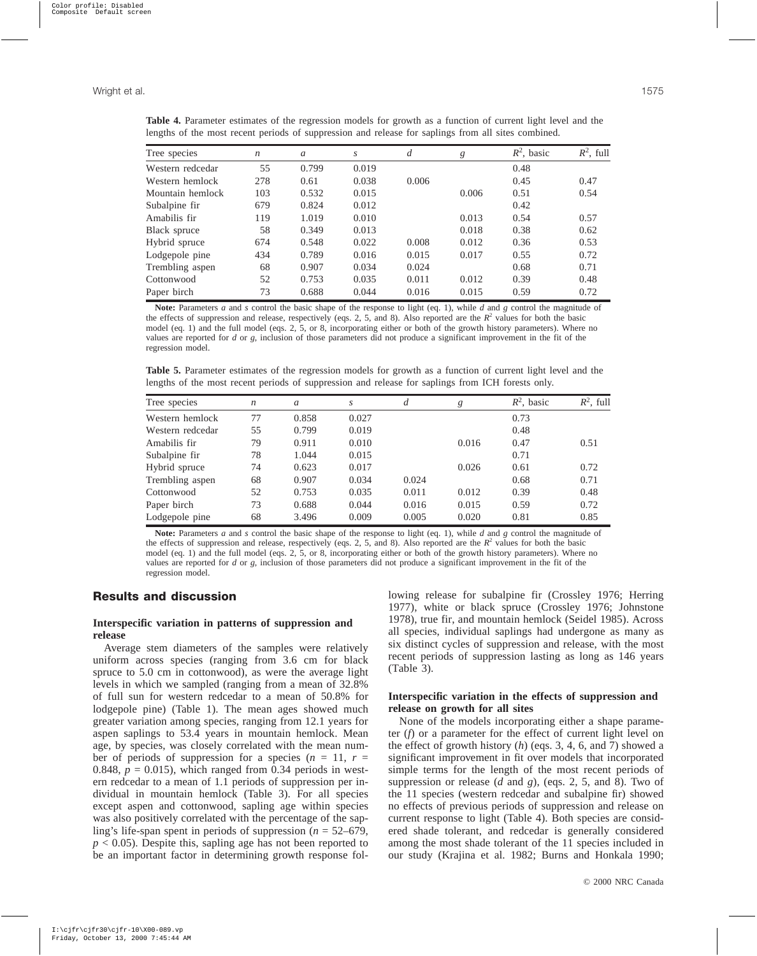| Tree species     | $\boldsymbol{n}$ | a     | S     | d     | g     | $R^2$ , basic | $R^2$ , full |
|------------------|------------------|-------|-------|-------|-------|---------------|--------------|
| Western redcedar | 55               | 0.799 | 0.019 |       |       | 0.48          |              |
| Western hemlock  | 278              | 0.61  | 0.038 | 0.006 |       | 0.45          | 0.47         |
| Mountain hemlock | 103              | 0.532 | 0.015 |       | 0.006 | 0.51          | 0.54         |
| Subalpine fir    | 679              | 0.824 | 0.012 |       |       | 0.42          |              |
| Amabilis fir     | 119              | 1.019 | 0.010 |       | 0.013 | 0.54          | 0.57         |
| Black spruce     | 58               | 0.349 | 0.013 |       | 0.018 | 0.38          | 0.62         |
| Hybrid spruce    | 674              | 0.548 | 0.022 | 0.008 | 0.012 | 0.36          | 0.53         |
| Lodgepole pine   | 434              | 0.789 | 0.016 | 0.015 | 0.017 | 0.55          | 0.72         |
| Trembling aspen  | 68               | 0.907 | 0.034 | 0.024 |       | 0.68          | 0.71         |
| Cottonwood       | 52               | 0.753 | 0.035 | 0.011 | 0.012 | 0.39          | 0.48         |
| Paper birch      | 73               | 0.688 | 0.044 | 0.016 | 0.015 | 0.59          | 0.72         |

**Table 4.** Parameter estimates of the regression models for growth as a function of current light level and the lengths of the most recent periods of suppression and release for saplings from all sites combined.

**Note:** Parameters *a* and *s* control the basic shape of the response to light (eq. 1), while *d* and *g* control the magnitude of the effects of suppression and release, respectively (eqs. 2, 5, and 8). Also reported are the  $R<sup>2</sup>$  values for both the basic model (eq. 1) and the full model (eqs. 2, 5, or 8, incorporating either or both of the growth history parameters). Where no values are reported for *d* or *g*, inclusion of those parameters did not produce a significant improvement in the fit of the regression model.

**Table 5.** Parameter estimates of the regression models for growth as a function of current light level and the lengths of the most recent periods of suppression and release for saplings from ICH forests only.

| Tree species     | $\boldsymbol{n}$ | a     | S     | d     | g     | $R^2$ , basic | $R^2$ , full |
|------------------|------------------|-------|-------|-------|-------|---------------|--------------|
| Western hemlock  | 77               | 0.858 | 0.027 |       |       | 0.73          |              |
| Western redcedar | 55               | 0.799 | 0.019 |       |       | 0.48          |              |
| Amabilis fir     | 79               | 0.911 | 0.010 |       | 0.016 | 0.47          | 0.51         |
| Subalpine fir    | 78               | 1.044 | 0.015 |       |       | 0.71          |              |
| Hybrid spruce    | 74               | 0.623 | 0.017 |       | 0.026 | 0.61          | 0.72         |
| Trembling aspen  | 68               | 0.907 | 0.034 | 0.024 |       | 0.68          | 0.71         |
| Cottonwood       | 52               | 0.753 | 0.035 | 0.011 | 0.012 | 0.39          | 0.48         |
| Paper birch      | 73               | 0.688 | 0.044 | 0.016 | 0.015 | 0.59          | 0.72         |
| Lodgepole pine   | 68               | 3.496 | 0.009 | 0.005 | 0.020 | 0.81          | 0.85         |

**Note:** Parameters *a* and *s* control the basic shape of the response to light (eq. 1), while *d* and *g* control the magnitude of the effects of suppression and release, respectively (eqs. 2, 5, and 8). Also reported are the  $R<sup>2</sup>$  values for both the basic model (eq. 1) and the full model (eqs. 2, 5, or 8, incorporating either or both of the growth history parameters). Where no values are reported for *d* or *g*, inclusion of those parameters did not produce a significant improvement in the fit of the regression model.

# **Results and discussion**

## **Interspecific variation in patterns of suppression and release**

Average stem diameters of the samples were relatively uniform across species (ranging from 3.6 cm for black spruce to 5.0 cm in cottonwood), as were the average light levels in which we sampled (ranging from a mean of 32.8% of full sun for western redcedar to a mean of 50.8% for lodgepole pine) (Table 1). The mean ages showed much greater variation among species, ranging from 12.1 years for aspen saplings to 53.4 years in mountain hemlock. Mean age, by species, was closely correlated with the mean number of periods of suppression for a species  $(n = 11, r =$ 0.848,  $p = 0.015$ ), which ranged from 0.34 periods in western redcedar to a mean of 1.1 periods of suppression per individual in mountain hemlock (Table 3). For all species except aspen and cottonwood, sapling age within species was also positively correlated with the percentage of the sapling's life-span spent in periods of suppression (*n* = 52–679, *p* < 0.05). Despite this, sapling age has not been reported to be an important factor in determining growth response following release for subalpine fir (Crossley 1976; Herring 1977), white or black spruce (Crossley 1976; Johnstone 1978), true fir, and mountain hemlock (Seidel 1985). Across all species, individual saplings had undergone as many as six distinct cycles of suppression and release, with the most recent periods of suppression lasting as long as 146 years (Table 3).

## **Interspecific variation in the effects of suppression and release on growth for all sites**

None of the models incorporating either a shape parameter (*f*) or a parameter for the effect of current light level on the effect of growth history (*h*) (eqs. 3, 4, 6, and 7) showed a significant improvement in fit over models that incorporated simple terms for the length of the most recent periods of suppression or release (*d* and *g*), (eqs. 2, 5, and 8). Two of the 11 species (western redcedar and subalpine fir) showed no effects of previous periods of suppression and release on current response to light (Table 4). Both species are considered shade tolerant, and redcedar is generally considered among the most shade tolerant of the 11 species included in our study (Krajina et al. 1982; Burns and Honkala 1990;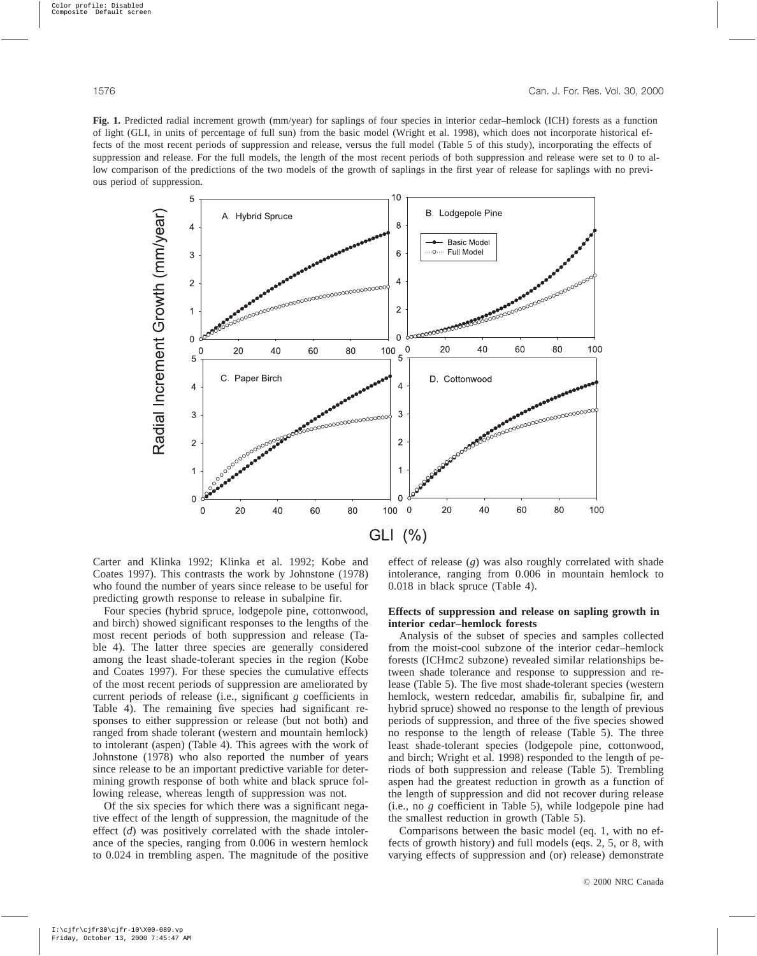**Fig. 1.** Predicted radial increment growth (mm/year) for saplings of four species in interior cedar–hemlock (ICH) forests as a function of light (GLI, in units of percentage of full sun) from the basic model (Wright et al. 1998), which does not incorporate historical effects of the most recent periods of suppression and release, versus the full model (Table 5 of this study), incorporating the effects of suppression and release. For the full models, the length of the most recent periods of both suppression and release were set to 0 to allow comparison of the predictions of the two models of the growth of saplings in the first year of release for saplings with no previous period of suppression.



Carter and Klinka 1992; Klinka et al. 1992; Kobe and Coates 1997). This contrasts the work by Johnstone (1978) who found the number of years since release to be useful for predicting growth response to release in subalpine fir.

Four species (hybrid spruce, lodgepole pine, cottonwood, and birch) showed significant responses to the lengths of the most recent periods of both suppression and release (Table 4). The latter three species are generally considered among the least shade-tolerant species in the region (Kobe and Coates 1997). For these species the cumulative effects of the most recent periods of suppression are ameliorated by current periods of release (i.e., significant *g* coefficients in Table 4). The remaining five species had significant responses to either suppression or release (but not both) and ranged from shade tolerant (western and mountain hemlock) to intolerant (aspen) (Table 4). This agrees with the work of Johnstone (1978) who also reported the number of years since release to be an important predictive variable for determining growth response of both white and black spruce following release, whereas length of suppression was not.

Of the six species for which there was a significant negative effect of the length of suppression, the magnitude of the effect (*d*) was positively correlated with the shade intolerance of the species, ranging from 0.006 in western hemlock to 0.024 in trembling aspen. The magnitude of the positive effect of release (*g*) was also roughly correlated with shade intolerance, ranging from 0.006 in mountain hemlock to 0.018 in black spruce (Table 4).

### **Effects of suppression and release on sapling growth in interior cedar–hemlock forests**

Analysis of the subset of species and samples collected from the moist-cool subzone of the interior cedar–hemlock forests (ICHmc2 subzone) revealed similar relationships between shade tolerance and response to suppression and release (Table 5). The five most shade-tolerant species (western hemlock, western redcedar, amabilis fir, subalpine fir, and hybrid spruce) showed no response to the length of previous periods of suppression, and three of the five species showed no response to the length of release (Table 5). The three least shade-tolerant species (lodgepole pine, cottonwood, and birch; Wright et al. 1998) responded to the length of periods of both suppression and release (Table 5). Trembling aspen had the greatest reduction in growth as a function of the length of suppression and did not recover during release (i.e., no *g* coefficient in Table 5), while lodgepole pine had the smallest reduction in growth (Table 5).

Comparisons between the basic model (eq. 1, with no effects of growth history) and full models (eqs. 2, 5, or 8, with varying effects of suppression and (or) release) demonstrate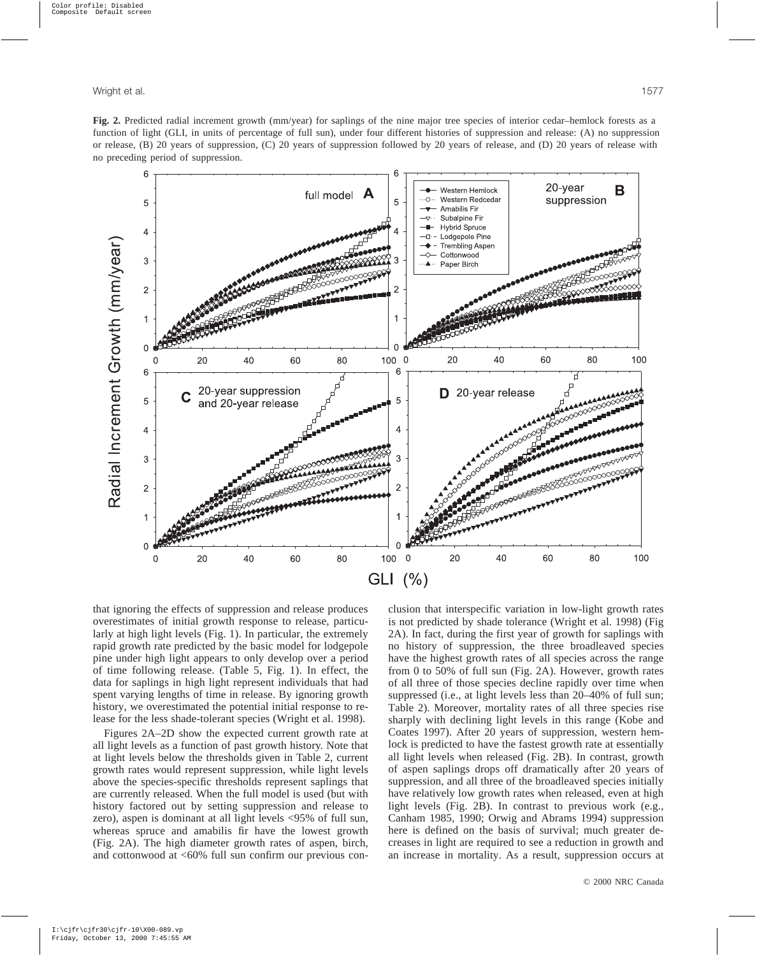**Fig. 2.** Predicted radial increment growth (mm/year) for saplings of the nine major tree species of interior cedar–hemlock forests as a function of light (GLI, in units of percentage of full sun), under four different histories of suppression and release: (A) no suppression or release, (B) 20 years of suppression, (C) 20 years of suppression followed by 20 years of release, and (D) 20 years of release with no preceding period of suppression.



that ignoring the effects of suppression and release produces overestimates of initial growth response to release, particularly at high light levels (Fig. 1). In particular, the extremely rapid growth rate predicted by the basic model for lodgepole pine under high light appears to only develop over a period of time following release. (Table 5, Fig. 1). In effect, the data for saplings in high light represent individuals that had spent varying lengths of time in release. By ignoring growth history, we overestimated the potential initial response to release for the less shade-tolerant species (Wright et al. 1998).

Figures 2A–2D show the expected current growth rate at all light levels as a function of past growth history. Note that at light levels below the thresholds given in Table 2, current growth rates would represent suppression, while light levels above the species-specific thresholds represent saplings that are currently released. When the full model is used (but with history factored out by setting suppression and release to zero), aspen is dominant at all light levels <95% of full sun, whereas spruce and amabilis fir have the lowest growth (Fig. 2A). The high diameter growth rates of aspen, birch, and cottonwood at <60% full sun confirm our previous conclusion that interspecific variation in low-light growth rates is not predicted by shade tolerance (Wright et al. 1998) (Fig 2A). In fact, during the first year of growth for saplings with no history of suppression, the three broadleaved species have the highest growth rates of all species across the range from 0 to 50% of full sun (Fig. 2A). However, growth rates of all three of those species decline rapidly over time when suppressed (i.e., at light levels less than 20–40% of full sun; Table 2). Moreover, mortality rates of all three species rise sharply with declining light levels in this range (Kobe and Coates 1997). After 20 years of suppression, western hemlock is predicted to have the fastest growth rate at essentially all light levels when released (Fig. 2B). In contrast, growth of aspen saplings drops off dramatically after 20 years of suppression, and all three of the broadleaved species initially have relatively low growth rates when released, even at high light levels (Fig. 2B). In contrast to previous work (e.g., Canham 1985, 1990; Orwig and Abrams 1994) suppression here is defined on the basis of survival; much greater decreases in light are required to see a reduction in growth and an increase in mortality. As a result, suppression occurs at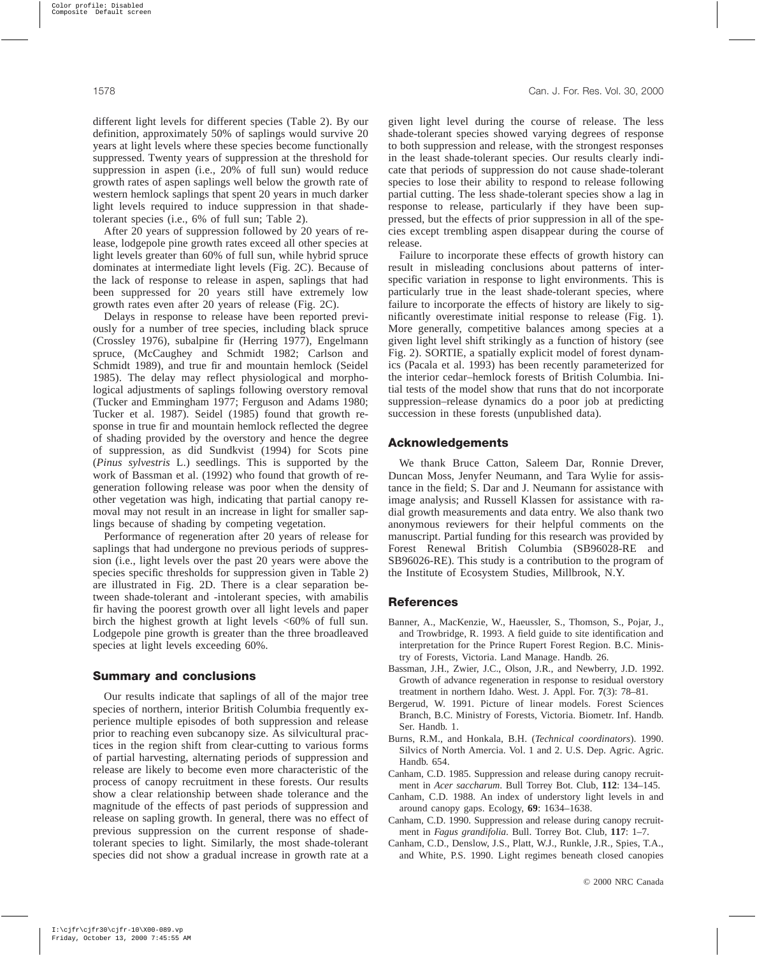different light levels for different species (Table 2). By our definition, approximately 50% of saplings would survive 20 years at light levels where these species become functionally suppressed. Twenty years of suppression at the threshold for suppression in aspen (i.e., 20% of full sun) would reduce growth rates of aspen saplings well below the growth rate of western hemlock saplings that spent 20 years in much darker light levels required to induce suppression in that shadetolerant species (i.e., 6% of full sun; Table 2).

After 20 years of suppression followed by 20 years of release, lodgepole pine growth rates exceed all other species at light levels greater than 60% of full sun, while hybrid spruce dominates at intermediate light levels (Fig. 2C). Because of the lack of response to release in aspen, saplings that had been suppressed for 20 years still have extremely low growth rates even after 20 years of release (Fig. 2C).

Delays in response to release have been reported previously for a number of tree species, including black spruce (Crossley 1976), subalpine fir (Herring 1977), Engelmann spruce, (McCaughey and Schmidt 1982; Carlson and Schmidt 1989), and true fir and mountain hemlock (Seidel 1985). The delay may reflect physiological and morphological adjustments of saplings following overstory removal (Tucker and Emmingham 1977; Ferguson and Adams 1980; Tucker et al. 1987). Seidel (1985) found that growth response in true fir and mountain hemlock reflected the degree of shading provided by the overstory and hence the degree of suppression, as did Sundkvist (1994) for Scots pine (*Pinus sylvestris* L.) seedlings. This is supported by the work of Bassman et al. (1992) who found that growth of regeneration following release was poor when the density of other vegetation was high, indicating that partial canopy removal may not result in an increase in light for smaller saplings because of shading by competing vegetation.

Performance of regeneration after 20 years of release for saplings that had undergone no previous periods of suppression (i.e., light levels over the past 20 years were above the species specific thresholds for suppression given in Table 2) are illustrated in Fig. 2D. There is a clear separation between shade-tolerant and -intolerant species, with amabilis fir having the poorest growth over all light levels and paper birch the highest growth at light levels  $<60\%$  of full sun. Lodgepole pine growth is greater than the three broadleaved species at light levels exceeding 60%.

#### **Summary and conclusions**

Our results indicate that saplings of all of the major tree species of northern, interior British Columbia frequently experience multiple episodes of both suppression and release prior to reaching even subcanopy size. As silvicultural practices in the region shift from clear-cutting to various forms of partial harvesting, alternating periods of suppression and release are likely to become even more characteristic of the process of canopy recruitment in these forests. Our results show a clear relationship between shade tolerance and the magnitude of the effects of past periods of suppression and release on sapling growth. In general, there was no effect of previous suppression on the current response of shadetolerant species to light. Similarly, the most shade-tolerant species did not show a gradual increase in growth rate at a given light level during the course of release. The less shade-tolerant species showed varying degrees of response to both suppression and release, with the strongest responses in the least shade-tolerant species. Our results clearly indicate that periods of suppression do not cause shade-tolerant species to lose their ability to respond to release following partial cutting. The less shade-tolerant species show a lag in response to release, particularly if they have been suppressed, but the effects of prior suppression in all of the species except trembling aspen disappear during the course of release.

Failure to incorporate these effects of growth history can result in misleading conclusions about patterns of interspecific variation in response to light environments. This is particularly true in the least shade-tolerant species, where failure to incorporate the effects of history are likely to significantly overestimate initial response to release (Fig. 1). More generally, competitive balances among species at a given light level shift strikingly as a function of history (see Fig. 2). SORTIE, a spatially explicit model of forest dynamics (Pacala et al. 1993) has been recently parameterized for the interior cedar–hemlock forests of British Columbia. Initial tests of the model show that runs that do not incorporate suppression–release dynamics do a poor job at predicting succession in these forests (unpublished data).

#### **Acknowledgements**

We thank Bruce Catton, Saleem Dar, Ronnie Drever, Duncan Moss, Jenyfer Neumann, and Tara Wylie for assistance in the field; S. Dar and J. Neumann for assistance with image analysis; and Russell Klassen for assistance with radial growth measurements and data entry. We also thank two anonymous reviewers for their helpful comments on the manuscript. Partial funding for this research was provided by Forest Renewal British Columbia (SB96028-RE and SB96026-RE). This study is a contribution to the program of the Institute of Ecosystem Studies, Millbrook, N.Y.

#### **References**

- Banner, A., MacKenzie, W., Haeussler, S., Thomson, S., Pojar, J., and Trowbridge, R. 1993. A field guide to site identification and interpretation for the Prince Rupert Forest Region. B.C. Ministry of Forests, Victoria. Land Manage. Handb. 26.
- Bassman, J.H., Zwier, J.C., Olson, J.R., and Newberry, J.D. 1992. Growth of advance regeneration in response to residual overstory treatment in northern Idaho. West. J. Appl. For. **7**(3): 78–81.
- Bergerud, W. 1991. Picture of linear models. Forest Sciences Branch, B.C. Ministry of Forests, Victoria. Biometr. Inf. Handb. Ser. Handb. 1.
- Burns, R.M., and Honkala, B.H. (*Technical coordinators*). 1990. Silvics of North Amercia. Vol. 1 and 2. U.S. Dep. Agric. Agric. Handb. 654.
- Canham, C.D. 1985. Suppression and release during canopy recruitment in *Acer saccharum*. Bull Torrey Bot. Club, **112**: 134–145.
- Canham, C.D. 1988. An index of understory light levels in and around canopy gaps. Ecology, **69**: 1634–1638.
- Canham, C.D. 1990. Suppression and release during canopy recruitment in *Fagus grandifolia*. Bull. Torrey Bot. Club, **117**: 1–7.
- Canham, C.D., Denslow, J.S., Platt, W.J., Runkle, J.R., Spies, T.A., and White, P.S. 1990. Light regimes beneath closed canopies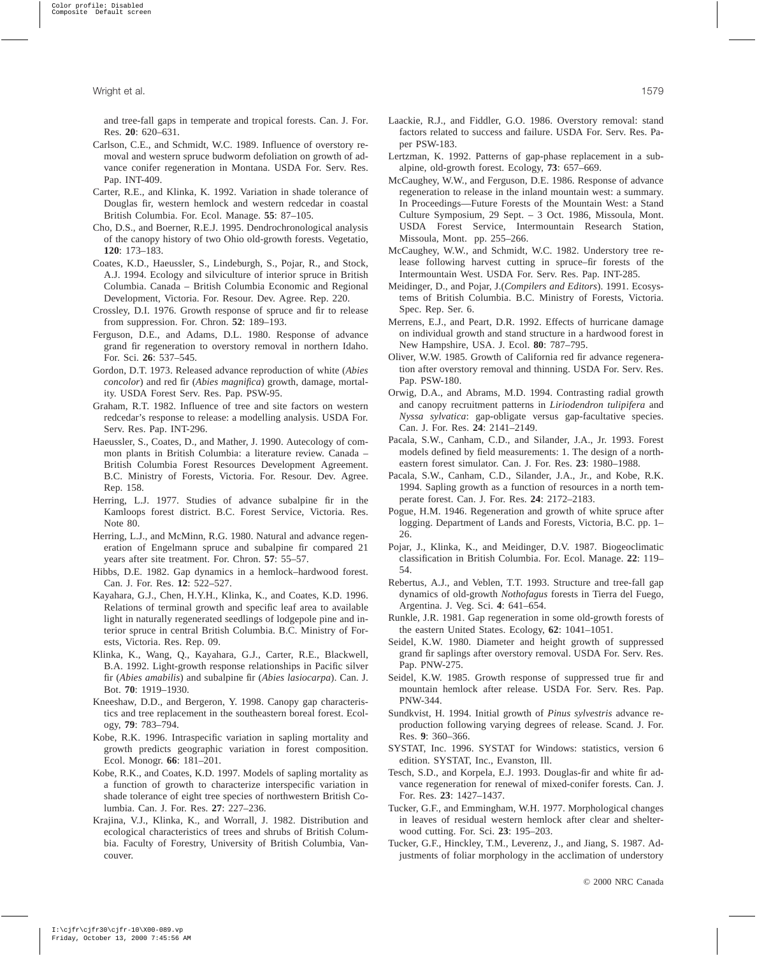and tree-fall gaps in temperate and tropical forests. Can. J. For. Res. **20**: 620–631.

- Carlson, C.E., and Schmidt, W.C. 1989. Influence of overstory removal and western spruce budworm defoliation on growth of advance conifer regeneration in Montana. USDA For. Serv. Res. Pap. INT-409.
- Carter, R.E., and Klinka, K. 1992. Variation in shade tolerance of Douglas fir, western hemlock and western redcedar in coastal British Columbia. For. Ecol. Manage. **55**: 87–105.
- Cho, D.S., and Boerner, R.E.J. 1995. Dendrochronological analysis of the canopy history of two Ohio old-growth forests. Vegetatio, **120**: 173–183.
- Coates, K.D., Haeussler, S., Lindeburgh, S., Pojar, R., and Stock, A.J. 1994. Ecology and silviculture of interior spruce in British Columbia. Canada – British Columbia Economic and Regional Development, Victoria. For. Resour. Dev. Agree. Rep. 220.
- Crossley, D.I. 1976. Growth response of spruce and fir to release from suppression. For. Chron. **52**: 189–193.
- Ferguson, D.E., and Adams, D.L. 1980. Response of advance grand fir regeneration to overstory removal in northern Idaho. For. Sci. **26**: 537–545.
- Gordon, D.T. 1973. Released advance reproduction of white (*Abies concolor*) and red fir (*Abies magnifica*) growth, damage, mortality. USDA Forest Serv. Res. Pap. PSW-95.
- Graham, R.T. 1982. Influence of tree and site factors on western redcedar's response to release: a modelling analysis. USDA For. Serv. Res. Pap. INT-296.
- Haeussler, S., Coates, D., and Mather, J. 1990. Autecology of common plants in British Columbia: a literature review. Canada – British Columbia Forest Resources Development Agreement. B.C. Ministry of Forests, Victoria. For. Resour. Dev. Agree. Rep. 158.
- Herring, L.J. 1977. Studies of advance subalpine fir in the Kamloops forest district. B.C. Forest Service, Victoria. Res. Note 80.
- Herring, L.J., and McMinn, R.G. 1980. Natural and advance regeneration of Engelmann spruce and subalpine fir compared 21 years after site treatment. For. Chron. **57**: 55–57.
- Hibbs, D.E. 1982. Gap dynamics in a hemlock–hardwood forest. Can. J. For. Res. **12**: 522–527.
- Kayahara, G.J., Chen, H.Y.H., Klinka, K., and Coates, K.D. 1996. Relations of terminal growth and specific leaf area to available light in naturally regenerated seedlings of lodgepole pine and interior spruce in central British Columbia. B.C. Ministry of Forests, Victoria. Res. Rep. 09.
- Klinka, K., Wang, Q., Kayahara, G.J., Carter, R.E., Blackwell, B.A. 1992. Light-growth response relationships in Pacific silver fir (*Abies amabilis*) and subalpine fir (*Abies lasiocarpa*). Can. J. Bot. **70**: 1919–1930.
- Kneeshaw, D.D., and Bergeron, Y. 1998. Canopy gap characteristics and tree replacement in the southeastern boreal forest. Ecology, **79**: 783–794.
- Kobe, R.K. 1996. Intraspecific variation in sapling mortality and growth predicts geographic variation in forest composition. Ecol. Monogr. **66**: 181–201.
- Kobe, R.K., and Coates, K.D. 1997. Models of sapling mortality as a function of growth to characterize interspecific variation in shade tolerance of eight tree species of northwestern British Columbia. Can. J. For. Res. **27**: 227–236.
- Krajina, V.J., Klinka, K., and Worrall, J. 1982. Distribution and ecological characteristics of trees and shrubs of British Columbia. Faculty of Forestry, University of British Columbia, Vancouver.
- Laackie, R.J., and Fiddler, G.O. 1986. Overstory removal: stand factors related to success and failure. USDA For. Serv. Res. Paper PSW-183.
- Lertzman, K. 1992. Patterns of gap-phase replacement in a subalpine, old-growth forest. Ecology, **73**: 657–669.
- McCaughey, W.W., and Ferguson, D.E. 1986. Response of advance regeneration to release in the inland mountain west: a summary. In Proceedings—Future Forests of the Mountain West: a Stand Culture Symposium, 29 Sept. – 3 Oct. 1986, Missoula, Mont. USDA Forest Service, Intermountain Research Station, Missoula, Mont. pp. 255–266.
- McCaughey, W.W., and Schmidt, W.C. 1982. Understory tree release following harvest cutting in spruce–fir forests of the Intermountain West. USDA For. Serv. Res. Pap. INT-285.
- Meidinger, D., and Pojar, J.(*Compilers and Editors*). 1991. Ecosystems of British Columbia. B.C. Ministry of Forests, Victoria. Spec. Rep. Ser. 6.
- Merrens, E.J., and Peart, D.R. 1992. Effects of hurricane damage on individual growth and stand structure in a hardwood forest in New Hampshire, USA. J. Ecol. **80**: 787–795.
- Oliver, W.W. 1985. Growth of California red fir advance regeneration after overstory removal and thinning. USDA For. Serv. Res. Pap. PSW-180.
- Orwig, D.A., and Abrams, M.D. 1994. Contrasting radial growth and canopy recruitment patterns in *Liriodendron tulipifera* and *Nyssa sylvatica*: gap-obligate versus gap-facultative species. Can. J. For. Res. **24**: 2141–2149.
- Pacala, S.W., Canham, C.D., and Silander, J.A., Jr. 1993. Forest models defined by field measurements: 1. The design of a northeastern forest simulator. Can. J. For. Res. **23**: 1980–1988.
- Pacala, S.W., Canham, C.D., Silander, J.A., Jr., and Kobe, R.K. 1994. Sapling growth as a function of resources in a north temperate forest. Can. J. For. Res. **24**: 2172–2183.
- Pogue, H.M. 1946. Regeneration and growth of white spruce after logging. Department of Lands and Forests, Victoria, B.C. pp. 1– 26.
- Pojar, J., Klinka, K., and Meidinger, D.V. 1987. Biogeoclimatic classification in British Columbia. For. Ecol. Manage. **22**: 119– 54.
- Rebertus, A.J., and Veblen, T.T. 1993. Structure and tree-fall gap dynamics of old-growth *Nothofagus* forests in Tierra del Fuego, Argentina. J. Veg. Sci. **4**: 641–654.
- Runkle, J.R. 1981. Gap regeneration in some old-growth forests of the eastern United States. Ecology, **62**: 1041–1051.
- Seidel, K.W. 1980. Diameter and height growth of suppressed grand fir saplings after overstory removal. USDA For. Serv. Res. Pap. PNW-275.
- Seidel, K.W. 1985. Growth response of suppressed true fir and mountain hemlock after release. USDA For. Serv. Res. Pap. PNW-344.
- Sundkvist, H. 1994. Initial growth of *Pinus sylvestris* advance reproduction following varying degrees of release. Scand. J. For. Res. **9**: 360–366.
- SYSTAT, Inc. 1996. SYSTAT for Windows: statistics, version 6 edition. SYSTAT, Inc., Evanston, Ill.
- Tesch, S.D., and Korpela, E.J. 1993. Douglas-fir and white fir advance regeneration for renewal of mixed-conifer forests. Can. J. For. Res. **23**: 1427–1437.
- Tucker, G.F., and Emmingham, W.H. 1977. Morphological changes in leaves of residual western hemlock after clear and shelterwood cutting. For. Sci. **23**: 195–203.
- Tucker, G.F., Hinckley, T.M., Leverenz, J., and Jiang, S. 1987. Adjustments of foliar morphology in the acclimation of understory